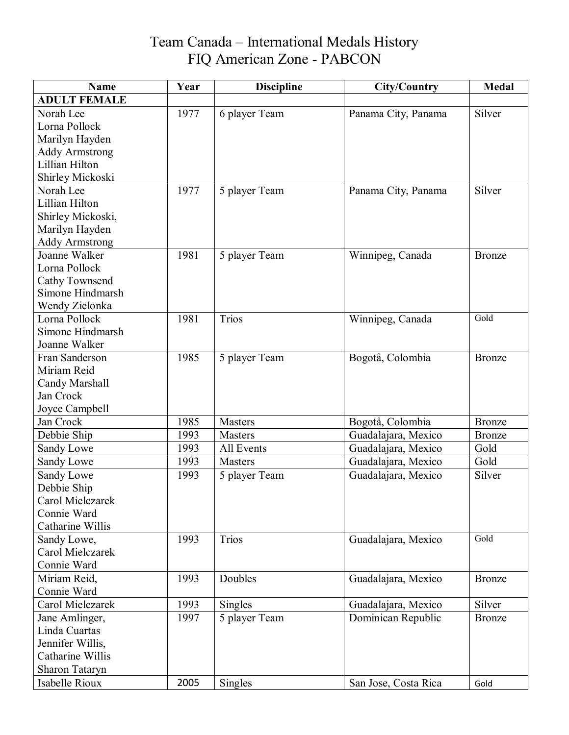| <b>Name</b>                          | Year | <b>Discipline</b> | <b>City/Country</b>  | <b>Medal</b>  |
|--------------------------------------|------|-------------------|----------------------|---------------|
| <b>ADULT FEMALE</b>                  |      |                   |                      |               |
| Norah Lee                            | 1977 | 6 player Team     | Panama City, Panama  | Silver        |
| Lorna Pollock                        |      |                   |                      |               |
| Marilyn Hayden                       |      |                   |                      |               |
| <b>Addy Armstrong</b>                |      |                   |                      |               |
| Lillian Hilton                       |      |                   |                      |               |
| Shirley Mickoski                     |      |                   |                      |               |
| Norah Lee                            | 1977 | 5 player Team     | Panama City, Panama  | Silver        |
| Lillian Hilton                       |      |                   |                      |               |
| Shirley Mickoski,                    |      |                   |                      |               |
| Marilyn Hayden                       |      |                   |                      |               |
| <b>Addy Armstrong</b>                |      |                   |                      |               |
| Joanne Walker                        | 1981 | 5 player Team     | Winnipeg, Canada     | Bronze        |
| Lorna Pollock                        |      |                   |                      |               |
| Cathy Townsend                       |      |                   |                      |               |
| Simone Hindmarsh                     |      |                   |                      |               |
| Wendy Zielonka                       |      |                   |                      |               |
| Lorna Pollock                        | 1981 | Trios             | Winnipeg, Canada     | Gold          |
| Simone Hindmarsh                     |      |                   |                      |               |
| Joanne Walker                        |      |                   |                      |               |
| Fran Sanderson                       | 1985 | 5 player Team     | Bogotå, Colombia     | Bronze        |
| Miriam Reid                          |      |                   |                      |               |
| Candy Marshall                       |      |                   |                      |               |
| Jan Crock                            |      |                   |                      |               |
| Joyce Campbell                       |      |                   |                      |               |
| Jan Crock                            | 1985 | <b>Masters</b>    | Bogotå, Colombia     | <b>Bronze</b> |
| Debbie Ship                          | 1993 | <b>Masters</b>    | Guadalajara, Mexico  | <b>Bronze</b> |
| Sandy Lowe                           | 1993 | All Events        | Guadalajara, Mexico  | Gold          |
| Sandy Lowe                           | 1993 | <b>Masters</b>    | Guadalajara, Mexico  | Gold          |
| Sandy Lowe                           | 1993 | 5 player Team     | Guadalajara, Mexico  | Silver        |
| Debbie Ship                          |      |                   |                      |               |
| Carol Mielczarek                     |      |                   |                      |               |
| Connie Ward                          |      |                   |                      |               |
| Catharine Willis                     |      |                   |                      | Gold          |
| Sandy Lowe,                          | 1993 | Trios             | Guadalajara, Mexico  |               |
| Carol Mielczarek                     |      |                   |                      |               |
| Connie Ward                          |      |                   |                      |               |
| Miriam Reid,                         | 1993 | Doubles           | Guadalajara, Mexico  | <b>Bronze</b> |
| Connie Ward                          |      |                   |                      |               |
| Carol Mielczarek                     | 1993 | Singles           | Guadalajara, Mexico  | Silver        |
| Jane Amlinger,                       | 1997 | 5 player Team     | Dominican Republic   | <b>Bronze</b> |
| Linda Cuartas                        |      |                   |                      |               |
| Jennifer Willis,<br>Catharine Willis |      |                   |                      |               |
|                                      |      |                   |                      |               |
| Sharon Tataryn                       |      |                   |                      |               |
| Isabelle Rioux                       | 2005 | <b>Singles</b>    | San Jose, Costa Rica | Gold          |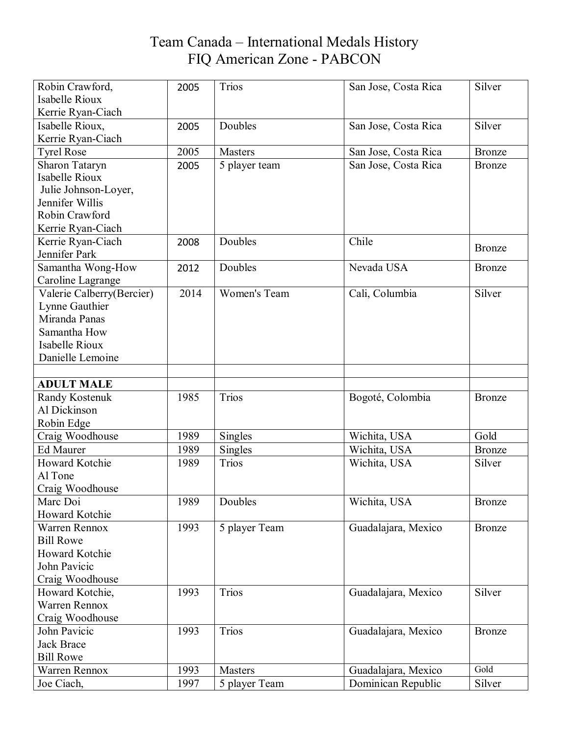| Robin Crawford,           | 2005 | <b>Trios</b>        | San Jose, Costa Rica | Silver        |
|---------------------------|------|---------------------|----------------------|---------------|
| Isabelle Rioux            |      |                     |                      |               |
| Kerrie Ryan-Ciach         |      |                     |                      |               |
| Isabelle Rioux,           | 2005 | Doubles             | San Jose, Costa Rica | Silver        |
| Kerrie Ryan-Ciach         |      |                     |                      |               |
| <b>Tyrel Rose</b>         | 2005 | <b>Masters</b>      | San Jose, Costa Rica | <b>Bronze</b> |
| <b>Sharon Tataryn</b>     | 2005 | 5 player team       | San Jose, Costa Rica | <b>Bronze</b> |
| <b>Isabelle Rioux</b>     |      |                     |                      |               |
| Julie Johnson-Loyer,      |      |                     |                      |               |
| Jennifer Willis           |      |                     |                      |               |
| Robin Crawford            |      |                     |                      |               |
| Kerrie Ryan-Ciach         |      |                     |                      |               |
| Kerrie Ryan-Ciach         | 2008 | Doubles             | Chile                | <b>Bronze</b> |
| Jennifer Park             |      |                     |                      |               |
| Samantha Wong-How         | 2012 | Doubles             | Nevada USA           | <b>Bronze</b> |
| Caroline Lagrange         |      |                     |                      |               |
| Valerie Calberry(Bercier) | 2014 | <b>Women's Team</b> | Cali, Columbia       | Silver        |
| Lynne Gauthier            |      |                     |                      |               |
| Miranda Panas             |      |                     |                      |               |
| Samantha How              |      |                     |                      |               |
| Isabelle Rioux            |      |                     |                      |               |
| Danielle Lemoine          |      |                     |                      |               |
|                           |      |                     |                      |               |
| <b>ADULT MALE</b>         |      |                     |                      |               |
| Randy Kostenuk            | 1985 | <b>Trios</b>        | Bogoté, Colombia     | <b>Bronze</b> |
| Al Dickinson              |      |                     |                      |               |
| Robin Edge                |      |                     |                      |               |
| Craig Woodhouse           | 1989 | <b>Singles</b>      | Wichita, USA         | Gold          |
| <b>Ed Maurer</b>          | 1989 | Singles             | Wichita, USA         | <b>Bronze</b> |
| Howard Kotchie            | 1989 | <b>Trios</b>        | Wichita, USA         | Silver        |
| Al Tone                   |      |                     |                      |               |
| Craig Woodhouse           |      |                     |                      |               |
| Marc Doi                  | 1989 | Doubles             | Wichita, USA         | <b>Bronze</b> |
| Howard Kotchie            |      |                     |                      |               |
| <b>Warren Rennox</b>      | 1993 | 5 player Team       | Guadalajara, Mexico  | <b>Bronze</b> |
| <b>Bill Rowe</b>          |      |                     |                      |               |
| Howard Kotchie            |      |                     |                      |               |
| John Pavicic              |      |                     |                      |               |
| Craig Woodhouse           |      |                     |                      |               |
| Howard Kotchie,           | 1993 | <b>Trios</b>        | Guadalajara, Mexico  | Silver        |
| Warren Rennox             |      |                     |                      |               |
| Craig Woodhouse           |      |                     |                      |               |
| John Pavicic              | 1993 | <b>Trios</b>        | Guadalajara, Mexico  | <b>Bronze</b> |
| <b>Jack Brace</b>         |      |                     |                      |               |
| <b>Bill Rowe</b>          |      |                     |                      |               |
| Warren Rennox             | 1993 | <b>Masters</b>      | Guadalajara, Mexico  | Gold          |
| Joe Ciach,                | 1997 | 5 player Team       | Dominican Republic   | Silver        |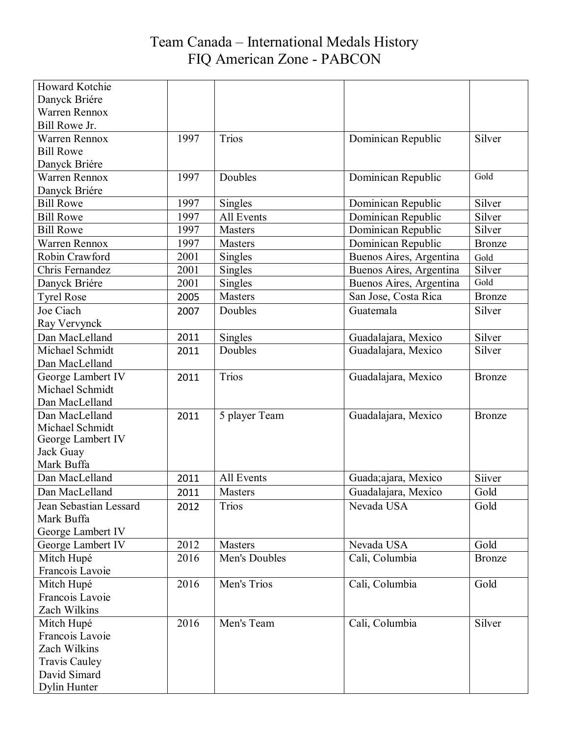| Howard Kotchie         |      |                |                         |               |
|------------------------|------|----------------|-------------------------|---------------|
| Danyck Briére          |      |                |                         |               |
| <b>Warren Rennox</b>   |      |                |                         |               |
| Bill Rowe Jr.          |      |                |                         |               |
| Warren Rennox          | 1997 | <b>Trios</b>   | Dominican Republic      | Silver        |
| <b>Bill Rowe</b>       |      |                |                         |               |
| Danyck Briére          |      |                |                         |               |
| <b>Warren Rennox</b>   | 1997 | Doubles        | Dominican Republic      | Gold          |
| Danyck Briére          |      |                |                         |               |
| <b>Bill Rowe</b>       | 1997 | <b>Singles</b> | Dominican Republic      | Silver        |
| <b>Bill Rowe</b>       | 1997 | All Events     | Dominican Republic      | Silver        |
| <b>Bill Rowe</b>       | 1997 | <b>Masters</b> | Dominican Republic      | Silver        |
| <b>Warren Rennox</b>   | 1997 | <b>Masters</b> | Dominican Republic      | <b>Bronze</b> |
| Robin Crawford         | 2001 | Singles        | Buenos Aires, Argentina | Gold          |
| Chris Fernandez        | 2001 | Singles        | Buenos Aires, Argentina | Silver        |
| Danyck Briére          | 2001 | <b>Singles</b> | Buenos Aires, Argentina | Gold          |
| <b>Tyrel Rose</b>      | 2005 | <b>Masters</b> | San Jose, Costa Rica    | <b>Bronze</b> |
| Joe Ciach              | 2007 | Doubles        | Guatemala               | Silver        |
| Ray Vervynck           |      |                |                         |               |
| Dan MacLelland         | 2011 | Singles        | Guadalajara, Mexico     | Silver        |
| Michael Schmidt        | 2011 | Doubles        | Guadalajara, Mexico     | Silver        |
| Dan MacLelland         |      |                |                         |               |
| George Lambert IV      | 2011 | <b>Trios</b>   | Guadalajara, Mexico     | Bronze        |
| Michael Schmidt        |      |                |                         |               |
| Dan MacLelland         |      |                |                         |               |
| Dan MacLelland         | 2011 | 5 player Team  | Guadalajara, Mexico     | <b>Bronze</b> |
| Michael Schmidt        |      |                |                         |               |
| George Lambert IV      |      |                |                         |               |
| Jack Guay              |      |                |                         |               |
| Mark Buffa             |      |                |                         |               |
| Dan MacLelland         | 2011 | All Events     | Guada;ajara, Mexico     | Siiver        |
| Dan MacLelland         | 2011 | <b>Masters</b> | Guadalajara, Mexico     | Gold          |
| Jean Sebastian Lessard | 2012 | <b>Trios</b>   | Nevada USA              | Gold          |
| Mark Buffa             |      |                |                         |               |
| George Lambert IV      |      |                |                         |               |
| George Lambert IV      | 2012 | <b>Masters</b> | Nevada USA              | Gold          |
| Mitch Hupé             | 2016 | Men's Doubles  | Cali, Columbia          | <b>Bronze</b> |
| Francois Lavoie        |      |                |                         |               |
| Mitch Hupé             | 2016 | Men's Trios    | Cali, Columbia          | Gold          |
| Francois Lavoie        |      |                |                         |               |
| Zach Wilkins           |      |                |                         |               |
| Mitch Hupé             | 2016 | Men's Team     | Cali, Columbia          | Silver        |
| Francois Lavoie        |      |                |                         |               |
| Zach Wilkins           |      |                |                         |               |
| <b>Travis Cauley</b>   |      |                |                         |               |
| David Simard           |      |                |                         |               |
| Dylin Hunter           |      |                |                         |               |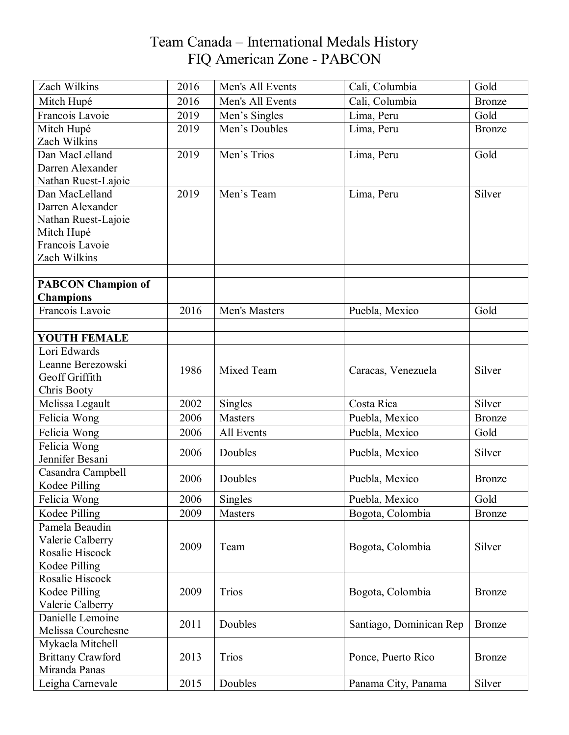| Zach Wilkins              | 2016 | Men's All Events | Cali, Columbia          | Gold          |
|---------------------------|------|------------------|-------------------------|---------------|
| Mitch Hupé                | 2016 | Men's All Events | Cali, Columbia          | <b>Bronze</b> |
| Francois Lavoie           | 2019 | Men's Singles    | Lima, Peru              | Gold          |
| Mitch Hupé                | 2019 | Men's Doubles    | Lima, Peru              | <b>Bronze</b> |
| Zach Wilkins              |      |                  |                         |               |
| Dan MacLelland            | 2019 | Men's Trios      | Lima, Peru              | Gold          |
| Darren Alexander          |      |                  |                         |               |
| Nathan Ruest-Lajoie       |      |                  |                         |               |
| Dan MacLelland            | 2019 | Men's Team       | Lima, Peru              | Silver        |
| Darren Alexander          |      |                  |                         |               |
| Nathan Ruest-Lajoie       |      |                  |                         |               |
| Mitch Hupé                |      |                  |                         |               |
| Francois Lavoie           |      |                  |                         |               |
| Zach Wilkins              |      |                  |                         |               |
|                           |      |                  |                         |               |
| <b>PABCON Champion of</b> |      |                  |                         |               |
| <b>Champions</b>          |      |                  |                         |               |
| Francois Lavoie           | 2016 | Men's Masters    | Puebla, Mexico          | Gold          |
|                           |      |                  |                         |               |
| <b>YOUTH FEMALE</b>       |      |                  |                         |               |
| Lori Edwards              |      |                  |                         |               |
| Leanne Berezowski         | 1986 | Mixed Team       | Caracas, Venezuela      | Silver        |
| Geoff Griffith            |      |                  |                         |               |
| Chris Booty               |      |                  |                         |               |
| Melissa Legault           | 2002 | Singles          | Costa Rica              | Silver        |
| Felicia Wong              | 2006 | <b>Masters</b>   | Puebla, Mexico          | <b>Bronze</b> |
| Felicia Wong              | 2006 | All Events       | Puebla, Mexico          | Gold          |
| Felicia Wong              | 2006 | Doubles          | Puebla, Mexico          | Silver        |
| Jennifer Besani           |      |                  |                         |               |
| Casandra Campbell         | 2006 | Doubles          |                         |               |
| Kodee Pilling             |      |                  | Puebla, Mexico          | <b>Bronze</b> |
| Felicia Wong              | 2006 | Singles          | Puebla, Mexico          | Gold          |
| Kodee Pilling             | 2009 | <b>Masters</b>   | Bogota, Colombia        | <b>Bronze</b> |
| Pamela Beaudin            |      |                  |                         |               |
| Valerie Calberry          |      |                  |                         |               |
| Rosalie Hiscock           | 2009 | Team             | Bogota, Colombia        | Silver        |
| Kodee Pilling             |      |                  |                         |               |
| Rosalie Hiscock           |      |                  |                         |               |
| Kodee Pilling             | 2009 | <b>Trios</b>     | Bogota, Colombia        | <b>Bronze</b> |
| Valerie Calberry          |      |                  |                         |               |
| Danielle Lemoine          | 2011 | Doubles          |                         |               |
| Melissa Courchesne        |      |                  | Santiago, Dominican Rep | <b>Bronze</b> |
| Mykaela Mitchell          |      |                  |                         |               |
| <b>Brittany Crawford</b>  | 2013 | <b>Trios</b>     | Ponce, Puerto Rico      | <b>Bronze</b> |
| Miranda Panas             |      |                  |                         |               |
| Leigha Carnevale          | 2015 | Doubles          | Panama City, Panama     | Silver        |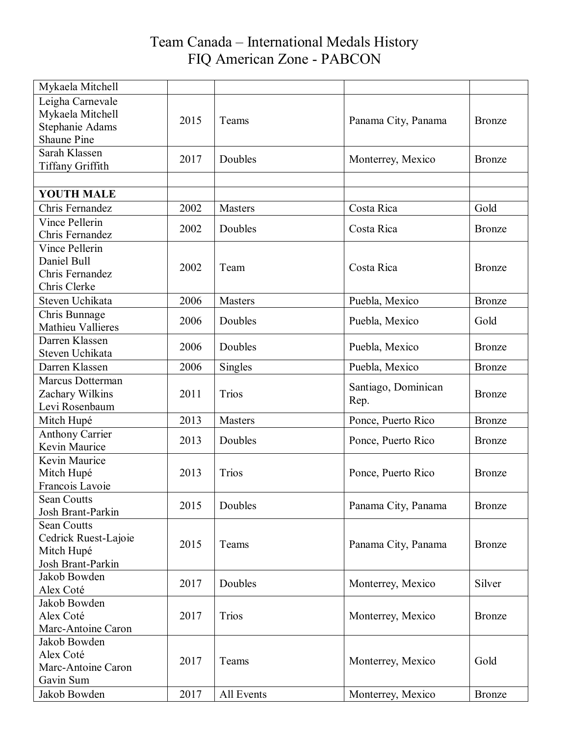| Mykaela Mitchell                                                              |      |                |                             |               |
|-------------------------------------------------------------------------------|------|----------------|-----------------------------|---------------|
| Leigha Carnevale<br>Mykaela Mitchell<br>Stephanie Adams<br><b>Shaune Pine</b> | 2015 | Teams          | Panama City, Panama         | <b>Bronze</b> |
| Sarah Klassen<br>Tiffany Griffith                                             | 2017 | Doubles        | Monterrey, Mexico           | <b>Bronze</b> |
| <b>YOUTH MALE</b>                                                             |      |                |                             |               |
| Chris Fernandez                                                               | 2002 | <b>Masters</b> | Costa Rica                  | Gold          |
| Vince Pellerin<br>Chris Fernandez                                             | 2002 | Doubles        | Costa Rica                  | <b>Bronze</b> |
| Vince Pellerin<br>Daniel Bull<br>Chris Fernandez<br>Chris Clerke              | 2002 | Team           | Costa Rica                  | Bronze        |
| Steven Uchikata                                                               | 2006 | <b>Masters</b> | Puebla, Mexico              | <b>Bronze</b> |
| Chris Bunnage<br>Mathieu Vallieres                                            | 2006 | Doubles        | Puebla, Mexico              | Gold          |
| Darren Klassen<br>Steven Uchikata                                             | 2006 | Doubles        | Puebla, Mexico              | <b>Bronze</b> |
| Darren Klassen                                                                | 2006 | Singles        | Puebla, Mexico              | Bronze        |
| Marcus Dotterman<br>Zachary Wilkins<br>Levi Rosenbaum                         | 2011 | <b>Trios</b>   | Santiago, Dominican<br>Rep. | Bronze        |
| Mitch Hupé                                                                    | 2013 | <b>Masters</b> | Ponce, Puerto Rico          | <b>Bronze</b> |
| <b>Anthony Carrier</b><br>Kevin Maurice                                       | 2013 | Doubles        | Ponce, Puerto Rico          | Bronze        |
| Kevin Maurice<br>Mitch Hupé<br>Francois Lavoie                                | 2013 | <b>Trios</b>   | Ponce, Puerto Rico          | <b>Bronze</b> |
| Sean Coutts<br>Josh Brant-Parkin                                              | 2015 | Doubles        | Panama City, Panama         | <b>Bronze</b> |
| <b>Sean Coutts</b><br>Cedrick Ruest-Lajoie<br>Mitch Hupé<br>Josh Brant-Parkin | 2015 | Teams          | Panama City, Panama         | Bronze        |
| Jakob Bowden<br>Alex Coté                                                     | 2017 | Doubles        | Monterrey, Mexico           | Silver        |
| Jakob Bowden<br>Alex Coté<br>Marc-Antoine Caron                               | 2017 | <b>Trios</b>   | Monterrey, Mexico           | Bronze        |
| Jakob Bowden<br>Alex Coté<br>Marc-Antoine Caron<br>Gavin Sum                  | 2017 | Teams          | Monterrey, Mexico           | Gold          |
| Jakob Bowden                                                                  | 2017 | All Events     | Monterrey, Mexico           | <b>Bronze</b> |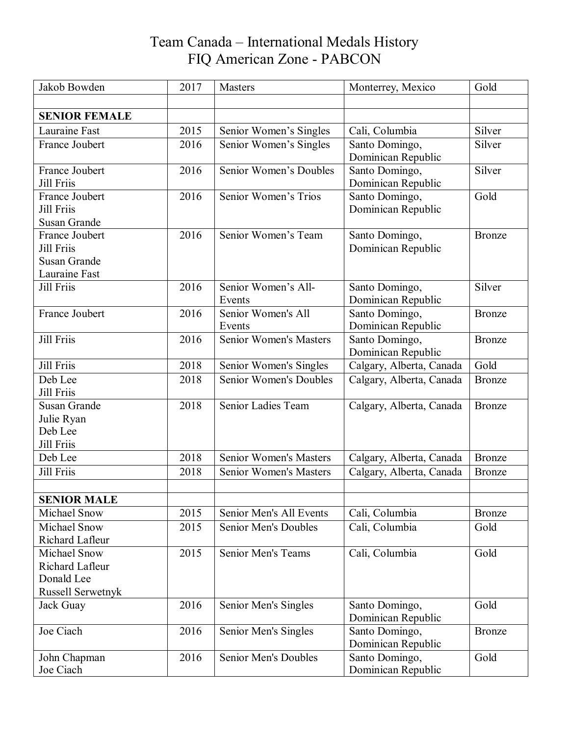| Jakob Bowden<br>2017<br>Monterrey, Mexico<br><b>Masters</b>                     | Gold          |
|---------------------------------------------------------------------------------|---------------|
|                                                                                 |               |
| <b>SENIOR FEMALE</b>                                                            |               |
| Lauraine Fast<br>2015<br>Cali, Columbia<br>Senior Women's Singles               | Silver        |
| France Joubert<br>2016<br>Senior Women's Singles<br>Santo Domingo,              | Silver        |
| Dominican Republic                                                              |               |
| Senior Women's Doubles<br>2016<br>France Joubert<br>Santo Domingo,              | Silver        |
| Jill Friis<br>Dominican Republic                                                |               |
| 2016<br>Senior Women's Trios<br>France Joubert<br>Santo Domingo,                | Gold          |
| Dominican Republic<br><b>Jill Friis</b>                                         |               |
| Susan Grande                                                                    |               |
| 2016<br>Senior Women's Team<br>France Joubert<br>Santo Domingo,                 | <b>Bronze</b> |
| Jill Friis<br>Dominican Republic                                                |               |
| Susan Grande<br>Lauraine Fast                                                   |               |
| Jill Friis<br>2016<br>Senior Women's All-                                       | Silver        |
| Santo Domingo,<br>Dominican Republic<br>Events                                  |               |
| 2016<br>Senior Women's All<br>France Joubert<br>Santo Domingo,                  | Bronze        |
| Dominican Republic<br>Events                                                    |               |
| <b>Jill Friis</b><br><b>Senior Women's Masters</b><br>2016<br>Santo Domingo,    | <b>Bronze</b> |
| Dominican Republic                                                              |               |
| Jill Friis<br>2018<br>Senior Women's Singles<br>Calgary, Alberta, Canada        | Gold          |
| Deb Lee<br><b>Senior Women's Doubles</b><br>2018<br>Calgary, Alberta, Canada    | <b>Bronze</b> |
| Jill Friis                                                                      |               |
| Senior Ladies Team<br>Susan Grande<br>2018<br>Calgary, Alberta, Canada          | Bronze        |
| Julie Ryan                                                                      |               |
| Deb Lee                                                                         |               |
| Jill Friis                                                                      |               |
| <b>Senior Women's Masters</b><br>2018<br>Deb Lee<br>Calgary, Alberta, Canada    | <b>Bronze</b> |
| Jill Friis<br>2018<br><b>Senior Women's Masters</b><br>Calgary, Alberta, Canada | Bronze        |
|                                                                                 |               |
| <b>SENIOR MALE</b>                                                              |               |
| 2015<br>Senior Men's All Events<br>Cali, Columbia<br>Michael Snow               | <b>Bronze</b> |
| Michael Snow<br><b>Senior Men's Doubles</b><br>Cali, Columbia<br>2015           | Gold          |
| Richard Lafleur                                                                 |               |
| Cali, Columbia<br>2015<br>Senior Men's Teams<br>Michael Snow                    | Gold          |
| <b>Richard Lafleur</b>                                                          |               |
| Donald Lee<br>Russell Serwetnyk                                                 |               |
| 2016<br>Senior Men's Singles<br>Santo Domingo,<br>Jack Guay                     | Gold          |
| Dominican Republic                                                              |               |
| 2016<br>Joe Ciach<br>Senior Men's Singles<br>Santo Domingo,                     | <b>Bronze</b> |
| Dominican Republic                                                              |               |
| 2016<br><b>Senior Men's Doubles</b><br>Santo Domingo,<br>John Chapman           | Gold          |
| Joe Ciach<br>Dominican Republic                                                 |               |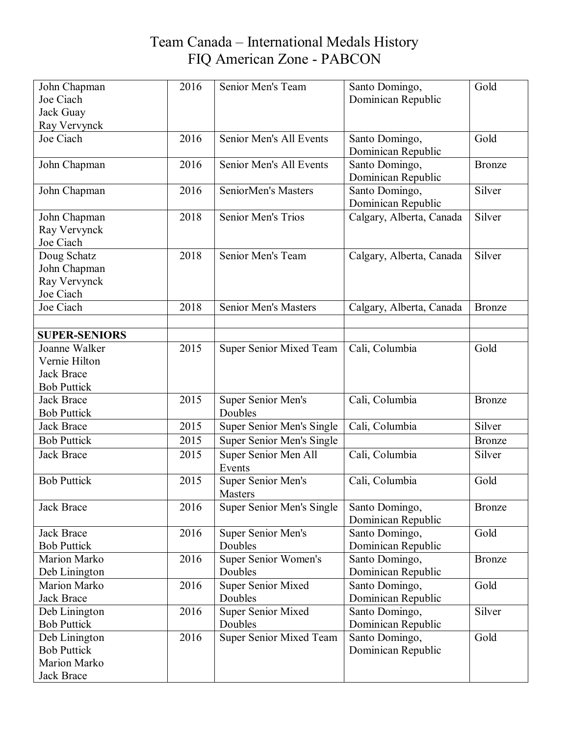| John Chapman                 | 2016 | Senior Men's Team           | Santo Domingo,                       | Gold          |
|------------------------------|------|-----------------------------|--------------------------------------|---------------|
| Joe Ciach                    |      |                             | Dominican Republic                   |               |
| Jack Guay                    |      |                             |                                      |               |
| Ray Vervynck                 |      |                             |                                      |               |
| Joe Ciach                    | 2016 | Senior Men's All Events     | Santo Domingo,                       | Gold          |
|                              |      |                             | Dominican Republic                   |               |
| John Chapman                 | 2016 | Senior Men's All Events     | Santo Domingo,<br>Dominican Republic | <b>Bronze</b> |
| John Chapman                 | 2016 | SeniorMen's Masters         | Santo Domingo,<br>Dominican Republic | Silver        |
| John Chapman<br>Ray Vervynck | 2018 | Senior Men's Trios          | Calgary, Alberta, Canada             | Silver        |
| Joe Ciach                    |      |                             |                                      |               |
| Doug Schatz                  | 2018 | Senior Men's Team           | Calgary, Alberta, Canada             | Silver        |
| John Chapman                 |      |                             |                                      |               |
| Ray Vervynck                 |      |                             |                                      |               |
| Joe Ciach                    |      |                             |                                      |               |
| Joe Ciach                    | 2018 | <b>Senior Men's Masters</b> | Calgary, Alberta, Canada             | Bronze        |
|                              |      |                             |                                      |               |
| <b>SUPER-SENIORS</b>         |      |                             |                                      |               |
| Joanne Walker                | 2015 | Super Senior Mixed Team     | Cali, Columbia                       | Gold          |
| Vernie Hilton                |      |                             |                                      |               |
| <b>Jack Brace</b>            |      |                             |                                      |               |
| <b>Bob Puttick</b>           |      |                             |                                      |               |
| <b>Jack Brace</b>            | 2015 | <b>Super Senior Men's</b>   | Cali, Columbia                       | Bronze        |
| <b>Bob Puttick</b>           |      | Doubles                     |                                      |               |
| <b>Jack Brace</b>            | 2015 | Super Senior Men's Single   | Cali, Columbia                       | Silver        |
| <b>Bob Puttick</b>           | 2015 | Super Senior Men's Single   |                                      | Bronze        |
| <b>Jack Brace</b>            | 2015 | Super Senior Men All        | Cali, Columbia                       | Silver        |
|                              |      | Events                      |                                      |               |
| <b>Bob Puttick</b>           | 2015 | <b>Super Senior Men's</b>   | Cali, Columbia                       | Gold          |
|                              |      | <b>Masters</b>              |                                      |               |
| Jack Brace                   | 2016 | Super Senior Men's Single   | Santo Domingo,<br>Dominican Republic | Bronze        |
| Jack Brace                   | 2016 | <b>Super Senior Men's</b>   | Santo Domingo,                       | Gold          |
| <b>Bob Puttick</b>           |      | Doubles                     | Dominican Republic                   |               |
| Marion Marko                 | 2016 | Super Senior Women's        | Santo Domingo,                       | Bronze        |
| Deb Linington                |      | Doubles                     | Dominican Republic                   |               |
| Marion Marko                 | 2016 | <b>Super Senior Mixed</b>   | Santo Domingo,                       | Gold          |
| Jack Brace                   |      | Doubles                     | Dominican Republic                   |               |
| Deb Linington                | 2016 | <b>Super Senior Mixed</b>   | Santo Domingo,                       | Silver        |
| <b>Bob Puttick</b>           |      | Doubles                     | Dominican Republic                   |               |
| Deb Linington                | 2016 | Super Senior Mixed Team     | Santo Domingo,                       | Gold          |
| <b>Bob Puttick</b>           |      |                             | Dominican Republic                   |               |
| Marion Marko                 |      |                             |                                      |               |
| Jack Brace                   |      |                             |                                      |               |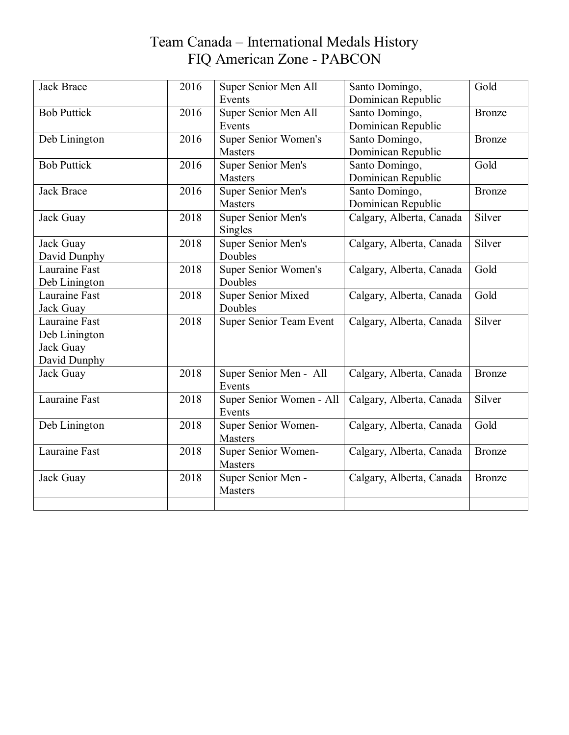| <b>Jack Brace</b>    | 2016 | Super Senior Men All        | Santo Domingo,           | Gold          |
|----------------------|------|-----------------------------|--------------------------|---------------|
|                      |      | Events                      | Dominican Republic       |               |
| <b>Bob Puttick</b>   | 2016 | Super Senior Men All        | Santo Domingo,           | <b>Bronze</b> |
|                      |      | Events                      | Dominican Republic       |               |
| Deb Linington        | 2016 | Super Senior Women's        | Santo Domingo,           | Bronze        |
|                      |      | <b>Masters</b>              | Dominican Republic       |               |
| <b>Bob Puttick</b>   | 2016 | <b>Super Senior Men's</b>   | Santo Domingo,           | Gold          |
|                      |      | <b>Masters</b>              | Dominican Republic       |               |
| <b>Jack Brace</b>    | 2016 | Super Senior Men's          | Santo Domingo,           | <b>Bronze</b> |
|                      |      | Masters                     | Dominican Republic       |               |
| Jack Guay            | 2018 | <b>Super Senior Men's</b>   | Calgary, Alberta, Canada | Silver        |
|                      |      | Singles                     |                          |               |
| Jack Guay            | 2018 | Super Senior Men's          | Calgary, Alberta, Canada | Silver        |
| David Dunphy         |      | Doubles                     |                          |               |
| Lauraine Fast        | 2018 | <b>Super Senior Women's</b> | Calgary, Alberta, Canada | Gold          |
| Deb Linington        |      | Doubles                     |                          |               |
| Lauraine Fast        | 2018 | <b>Super Senior Mixed</b>   | Calgary, Alberta, Canada | Gold          |
| Jack Guay            |      | Doubles                     |                          |               |
| Lauraine Fast        | 2018 | Super Senior Team Event     | Calgary, Alberta, Canada | Silver        |
| Deb Linington        |      |                             |                          |               |
| Jack Guay            |      |                             |                          |               |
| David Dunphy         |      |                             |                          |               |
| Jack Guay            | 2018 | Super Senior Men - All      | Calgary, Alberta, Canada | <b>Bronze</b> |
|                      |      | Events                      |                          |               |
| Lauraine Fast        | 2018 | Super Senior Women - All    | Calgary, Alberta, Canada | Silver        |
|                      |      | Events                      |                          |               |
| Deb Linington        | 2018 | Super Senior Women-         | Calgary, Alberta, Canada | Gold          |
|                      |      | <b>Masters</b>              |                          |               |
| <b>Lauraine Fast</b> | 2018 | Super Senior Women-         | Calgary, Alberta, Canada | Bronze        |
|                      |      | <b>Masters</b>              |                          |               |
| Jack Guay            | 2018 | Super Senior Men -          | Calgary, Alberta, Canada | <b>Bronze</b> |
|                      |      | <b>Masters</b>              |                          |               |
|                      |      |                             |                          |               |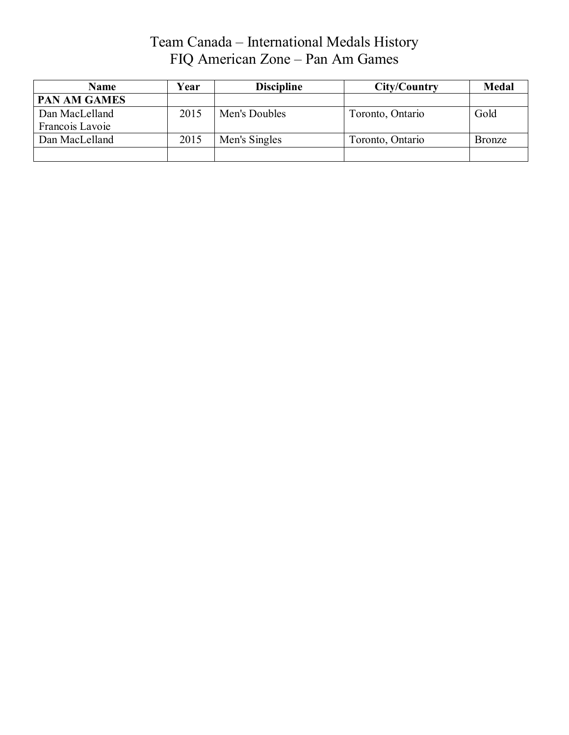#### Team Canada – International Medals History FIQ American Zone – Pan Am Games

| Name                | Year | <b>Discipline</b> | City/Country     | <b>Medal</b>  |
|---------------------|------|-------------------|------------------|---------------|
| <b>PAN AM GAMES</b> |      |                   |                  |               |
| Dan MacLelland      | 2015 | Men's Doubles     | Toronto, Ontario | Gold          |
| Francois Lavoie     |      |                   |                  |               |
| Dan MacLelland      | 2015 | Men's Singles     | Toronto, Ontario | <b>Bronze</b> |
|                     |      |                   |                  |               |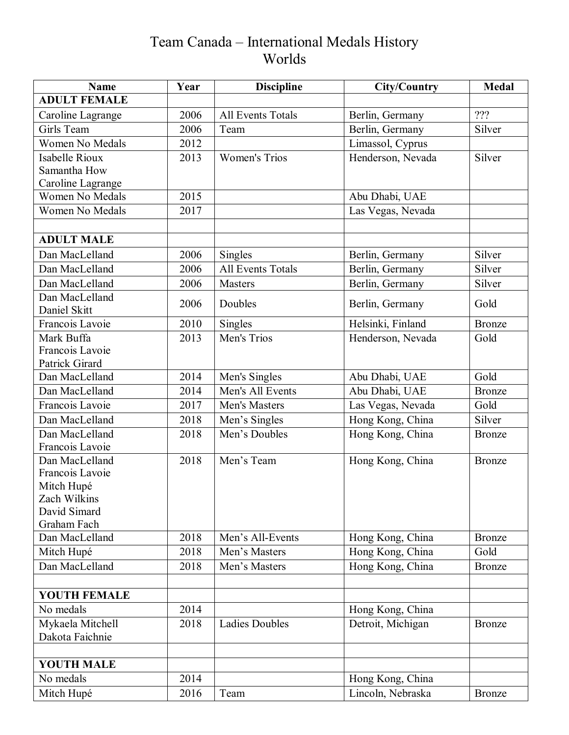# Team Canada – International Medals History Worlds

| <b>ADULT FEMALE</b><br>???<br>2006<br><b>All Events Totals</b><br>Caroline Lagrange<br>Berlin, Germany<br>Girls Team<br>Silver<br>2006<br>Team<br>Berlin, Germany<br>Women No Medals<br>Limassol, Cyprus<br>2012<br><b>Women's Trios</b><br>Silver<br><b>Isabelle Rioux</b><br>Henderson, Nevada<br>2013<br>Samantha How<br>Caroline Lagrange<br>2015<br>Women No Medals<br>Abu Dhabi, UAE<br>Women No Medals<br>2017<br>Las Vegas, Nevada<br><b>ADULT MALE</b><br>Dan MacLelland<br>Silver<br>2006<br>Singles<br>Berlin, Germany |
|-----------------------------------------------------------------------------------------------------------------------------------------------------------------------------------------------------------------------------------------------------------------------------------------------------------------------------------------------------------------------------------------------------------------------------------------------------------------------------------------------------------------------------------|
|                                                                                                                                                                                                                                                                                                                                                                                                                                                                                                                                   |
|                                                                                                                                                                                                                                                                                                                                                                                                                                                                                                                                   |
|                                                                                                                                                                                                                                                                                                                                                                                                                                                                                                                                   |
|                                                                                                                                                                                                                                                                                                                                                                                                                                                                                                                                   |
|                                                                                                                                                                                                                                                                                                                                                                                                                                                                                                                                   |
|                                                                                                                                                                                                                                                                                                                                                                                                                                                                                                                                   |
|                                                                                                                                                                                                                                                                                                                                                                                                                                                                                                                                   |
|                                                                                                                                                                                                                                                                                                                                                                                                                                                                                                                                   |
|                                                                                                                                                                                                                                                                                                                                                                                                                                                                                                                                   |
|                                                                                                                                                                                                                                                                                                                                                                                                                                                                                                                                   |
|                                                                                                                                                                                                                                                                                                                                                                                                                                                                                                                                   |
|                                                                                                                                                                                                                                                                                                                                                                                                                                                                                                                                   |
| <b>All Events Totals</b><br>Dan MacLelland<br>2006<br>Silver<br>Berlin, Germany                                                                                                                                                                                                                                                                                                                                                                                                                                                   |
| Dan MacLelland<br>2006<br><b>Masters</b><br>Berlin, Germany<br>Silver                                                                                                                                                                                                                                                                                                                                                                                                                                                             |
| Dan MacLelland<br>2006<br>Doubles<br>Berlin, Germany<br>Gold                                                                                                                                                                                                                                                                                                                                                                                                                                                                      |
| Daniel Skitt                                                                                                                                                                                                                                                                                                                                                                                                                                                                                                                      |
| Helsinki, Finland<br>Francois Lavoie<br>2010<br>Singles<br><b>Bronze</b>                                                                                                                                                                                                                                                                                                                                                                                                                                                          |
| Mark Buffa<br>Men's Trios<br>2013<br>Henderson, Nevada<br>Gold                                                                                                                                                                                                                                                                                                                                                                                                                                                                    |
| Francois Lavoie                                                                                                                                                                                                                                                                                                                                                                                                                                                                                                                   |
| Patrick Girard                                                                                                                                                                                                                                                                                                                                                                                                                                                                                                                    |
| Gold<br>Dan MacLelland<br>2014<br>Men's Singles<br>Abu Dhabi, UAE                                                                                                                                                                                                                                                                                                                                                                                                                                                                 |
| Men's All Events<br>Abu Dhabi, UAE<br>Dan MacLelland<br>2014<br><b>Bronze</b>                                                                                                                                                                                                                                                                                                                                                                                                                                                     |
| Francois Lavoie<br>Las Vegas, Nevada<br>Gold<br>2017<br>Men's Masters                                                                                                                                                                                                                                                                                                                                                                                                                                                             |
| Hong Kong, China<br>Dan MacLelland<br>2018<br>Silver<br>Men's Singles                                                                                                                                                                                                                                                                                                                                                                                                                                                             |
| Dan MacLelland<br>2018<br>Men's Doubles<br>Hong Kong, China<br><b>Bronze</b>                                                                                                                                                                                                                                                                                                                                                                                                                                                      |
| Francois Lavoie                                                                                                                                                                                                                                                                                                                                                                                                                                                                                                                   |
| Dan MacLelland<br>Men's Team<br>Hong Kong, China<br>2018<br>Bronze                                                                                                                                                                                                                                                                                                                                                                                                                                                                |
| Francois Lavoie                                                                                                                                                                                                                                                                                                                                                                                                                                                                                                                   |
| Mitch Hupé                                                                                                                                                                                                                                                                                                                                                                                                                                                                                                                        |
| Zach Wilkins<br>David Simard                                                                                                                                                                                                                                                                                                                                                                                                                                                                                                      |
| Graham Fach                                                                                                                                                                                                                                                                                                                                                                                                                                                                                                                       |
| Dan MacLelland<br>2018<br>Men's All-Events<br>Hong Kong, China<br><b>Bronze</b>                                                                                                                                                                                                                                                                                                                                                                                                                                                   |
| Gold<br>Mitch Hupé<br>2018<br>Men's Masters<br>Hong Kong, China                                                                                                                                                                                                                                                                                                                                                                                                                                                                   |
| Dan MacLelland<br>Hong Kong, China<br>2018<br>Men's Masters<br>Bronze                                                                                                                                                                                                                                                                                                                                                                                                                                                             |
|                                                                                                                                                                                                                                                                                                                                                                                                                                                                                                                                   |
| <b>YOUTH FEMALE</b>                                                                                                                                                                                                                                                                                                                                                                                                                                                                                                               |
| 2014<br>Hong Kong, China<br>No medals                                                                                                                                                                                                                                                                                                                                                                                                                                                                                             |
| <b>Ladies Doubles</b><br>Detroit, Michigan<br>Mykaela Mitchell<br>2018<br>Bronze                                                                                                                                                                                                                                                                                                                                                                                                                                                  |
| Dakota Faichnie                                                                                                                                                                                                                                                                                                                                                                                                                                                                                                                   |
|                                                                                                                                                                                                                                                                                                                                                                                                                                                                                                                                   |
| <b>YOUTH MALE</b>                                                                                                                                                                                                                                                                                                                                                                                                                                                                                                                 |
| No medals<br>2014<br>Hong Kong, China                                                                                                                                                                                                                                                                                                                                                                                                                                                                                             |
| 2016<br>Lincoln, Nebraska<br>Mitch Hupé<br>Team<br>Bronze                                                                                                                                                                                                                                                                                                                                                                                                                                                                         |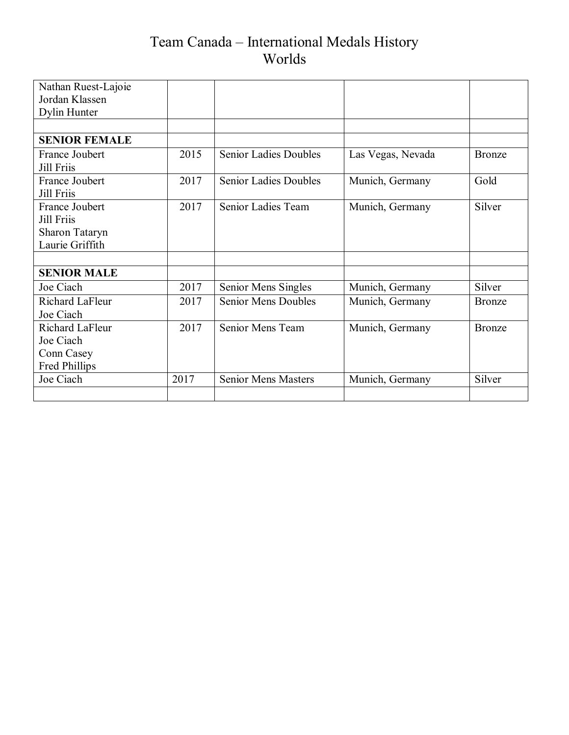# Team Canada – International Medals History Worlds

| Nathan Ruest-Lajoie  |      |                              |                   |               |
|----------------------|------|------------------------------|-------------------|---------------|
| Jordan Klassen       |      |                              |                   |               |
| Dylin Hunter         |      |                              |                   |               |
|                      |      |                              |                   |               |
| <b>SENIOR FEMALE</b> |      |                              |                   |               |
| France Joubert       | 2015 | <b>Senior Ladies Doubles</b> | Las Vegas, Nevada | Bronze        |
| <b>Jill Friis</b>    |      |                              |                   |               |
| France Joubert       | 2017 | <b>Senior Ladies Doubles</b> | Munich, Germany   | Gold          |
| <b>Jill Friis</b>    |      |                              |                   |               |
| France Joubert       | 2017 | Senior Ladies Team           | Munich, Germany   | Silver        |
| <b>Jill Friis</b>    |      |                              |                   |               |
| Sharon Tataryn       |      |                              |                   |               |
| Laurie Griffith      |      |                              |                   |               |
|                      |      |                              |                   |               |
| <b>SENIOR MALE</b>   |      |                              |                   |               |
| Joe Ciach            | 2017 | Senior Mens Singles          | Munich, Germany   | Silver        |
| Richard LaFleur      | 2017 | <b>Senior Mens Doubles</b>   | Munich, Germany   | <b>Bronze</b> |
| Joe Ciach            |      |                              |                   |               |
| Richard LaFleur      | 2017 | Senior Mens Team             | Munich, Germany   | Bronze        |
| Joe Ciach            |      |                              |                   |               |
| Conn Casey           |      |                              |                   |               |
| Fred Phillips        |      |                              |                   |               |
| Joe Ciach            | 2017 | <b>Senior Mens Masters</b>   | Munich, Germany   | Silver        |
|                      |      |                              |                   |               |